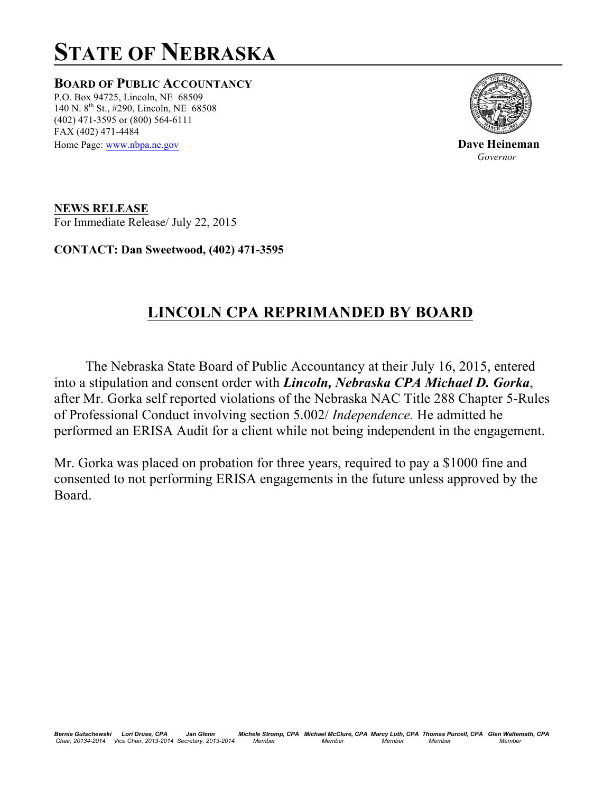## **STATE OF NEBRASKA**

**BOARD OF PUBLIC ACCOUNTANCY** P.O. Box 94725, Lincoln, NE 68509 140 N.  $8^{th}$  St., #290, Lincoln, NE 68508 (402) 471-3595 or (800) 564-6111 FAX (402) 471-4484



Home Page: <u>www.nbpa.ne.gov</u> **Dave Heineman** *Governor* 

**NEWS RELEASE** For Immediate Release/ July 22, 2015

**CONTACT: Dan Sweetwood, (402) 471-3595**

## **LINCOLN CPA REPRIMANDED BY BOARD**

 The Nebraska State Board of Public Accountancy at their July 16, 2015, entered into a stipulation and consent order with *Lincoln, Nebraska CPA Michael D. Gorka*, after Mr. Gorka self reported violations of the Nebraska NAC Title 288 Chapter 5-Rules of Professional Conduct involving section 5.002/ *Independence.* He admitted he performed an ERISA Audit for a client while not being independent in the engagement.

Mr. Gorka was placed on probation for three years, required to pay a \$1000 fine and consented to not performing ERISA engagements in the future unless approved by the Board.